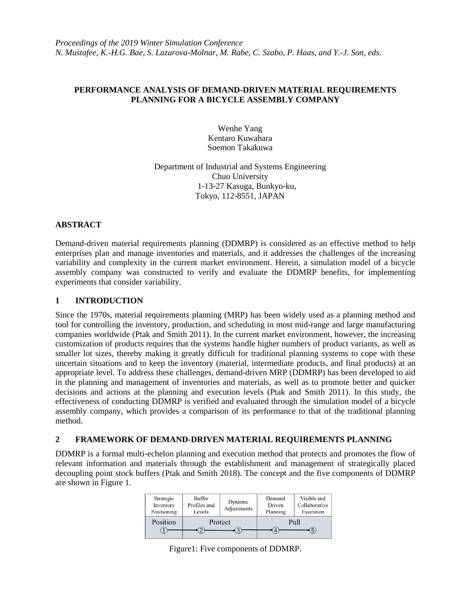# **PERFORMANCE ANALYSIS OF DEMAND-DRIVEN MATERIAL REQUIREMENTS PLANNING FOR A BICYCLE ASSEMBLY COMPANY**

Wenhe Yang Kentaro Kuwahara Soemon Takakuwa

Department of Industrial and Systems Engineering Chuo University 1-13-27 Kasuga, Bunkyo-ku, Tokyo, 112-8551, JAPAN

# **ABSTRACT**

Demand-driven material requirements planning (DDMRP) is considered as an effective method to help enterprises plan and manage inventories and materials, and it addresses the challenges of the increasing variability and complexity in the current market environment. Herein, a simulation model of a bicycle assembly company was constructed to verify and evaluate the DDMRP benefits, for implementing experiments that consider variability.

## **1 INTRODUCTION**

Since the 1970s, material requirements planning (MRP) has been widely used as a planning method and tool for controlling the inventory, production, and scheduling in most mid-range and large manufacturing companies worldwide (Ptak and Smith 2011). In the current market environment, however, the increasing customization of products requires that the systems handle higher numbers of product variants, as well as smaller lot sizes, thereby making it greatly difficult for traditional planning systems to cope with these uncertain situations and to keep the inventory (material, intermediate products, and final products) at an appropriate level. To address these challenges, demand-driven MRP (DDMRP) has been developed to aid in the planning and management of inventories and materials, as well as to promote better and quicker decisions and actions at the planning and execution levels (Ptak and Smith 2011). In this study, the effectiveness of conducting DDMRP is verified and evaluated through the simulation model of a bicycle assembly company, which provides a comparison of its performance to that of the traditional planning method.

## **2 FRAMEWORK OF DEMAND-DRIVEN MATERIAL REQUIREMENTS PLANNING**

DDMRP is a formal multi-echelon planning and execution method that protects and promotes the flow of relevant information and materials through the establishment and management of strategically placed decoupling point stock buffers (Ptak and Smith 2018). The concept and the five components of DDMRP are shown in Figure 1.

| Strategic<br>Inventory<br>Positioning | Buffer<br>Profiles and<br>Levels | Dynamic<br>Adjustments | Demand<br>Driven<br>Planning | Visible and<br>Collaborative<br>Execution |
|---------------------------------------|----------------------------------|------------------------|------------------------------|-------------------------------------------|
| Position                              | Protect                          |                        | Pull<br>ს<br>4               |                                           |

Figure1: Five components of DDMRP.